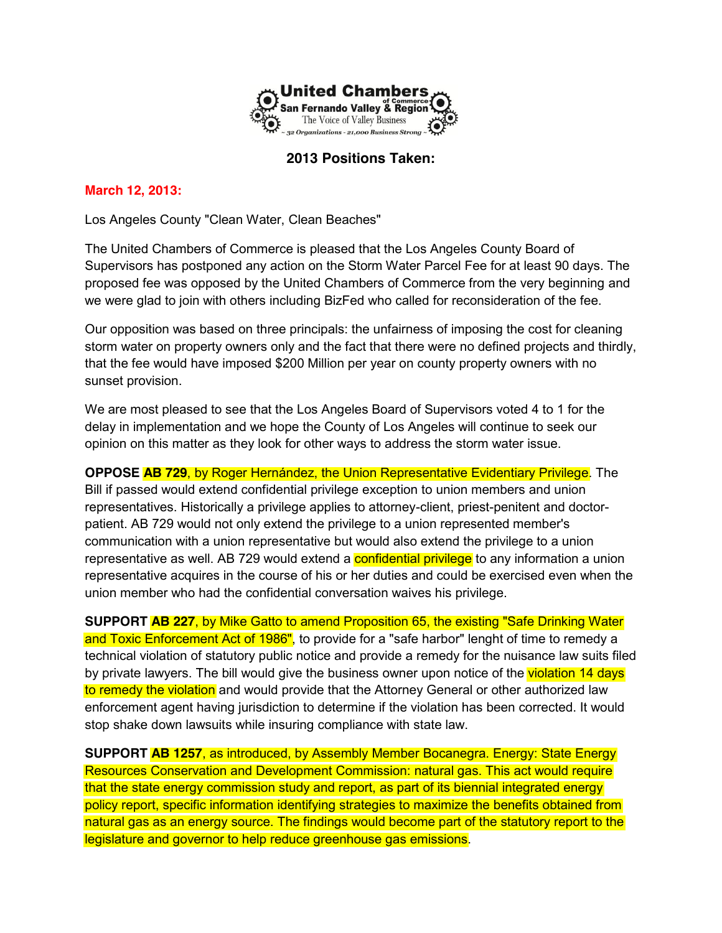

# **2013 Positions Taken:**

## **March 12, 2013:**

Los Angeles County "Clean Water, Clean Beaches"

The United Chambers of Commerce is pleased that the Los Angeles County Board of Supervisors has postponed any action on the Storm Water Parcel Fee for at least 90 days. The proposed fee was opposed by the United Chambers of Commerce from the very beginning and we were glad to join with others including BizFed who called for reconsideration of the fee.

Our opposition was based on three principals: the unfairness of imposing the cost for cleaning storm water on property owners only and the fact that there were no defined projects and thirdly, that the fee would have imposed \$200 Million per year on county property owners with no sunset provision.

We are most pleased to see that the Los Angeles Board of Supervisors voted 4 to 1 for the delay in implementation and we hope the County of Los Angeles will continue to seek our opinion on this matter as they look for other ways to address the storm water issue.

**OPPOSE AB 729**, by Roger Hernández, the Union Representative Evidentiary Privilege. The Bill if passed would extend confidential privilege exception to union members and union representatives. Historically a privilege applies to attorney-client, priest-penitent and doctorpatient. AB 729 would not only extend the privilege to a union represented member's communication with a union representative but would also extend the privilege to a union representative as well. AB 729 would extend a **confidential privilege** to any information a union representative acquires in the course of his or her duties and could be exercised even when the union member who had the confidential conversation waives his privilege.

**SUPPORT AB 227**, by Mike Gatto to amend Proposition 65, the existing "Safe Drinking Water and Toxic Enforcement Act of 1986", to provide for a "safe harbor" lenght of time to remedy a technical violation of statutory public notice and provide a remedy for the nuisance law suits filed by private lawyers. The bill would give the business owner upon notice of the violation 14 days to remedy the violation and would provide that the Attorney General or other authorized law enforcement agent having jurisdiction to determine if the violation has been corrected. It would stop shake down lawsuits while insuring compliance with state law.

**SUPPORT AB 1257**, as introduced, by Assembly Member Bocanegra. Energy: State Energy Resources Conservation and Development Commission: natural gas. This act would require that the state energy commission study and report, as part of its biennial integrated energy policy report, specific information identifying strategies to maximize the benefits obtained from natural gas as an energy source. The findings would become part of the statutory report to the legislature and governor to help reduce greenhouse gas emissions.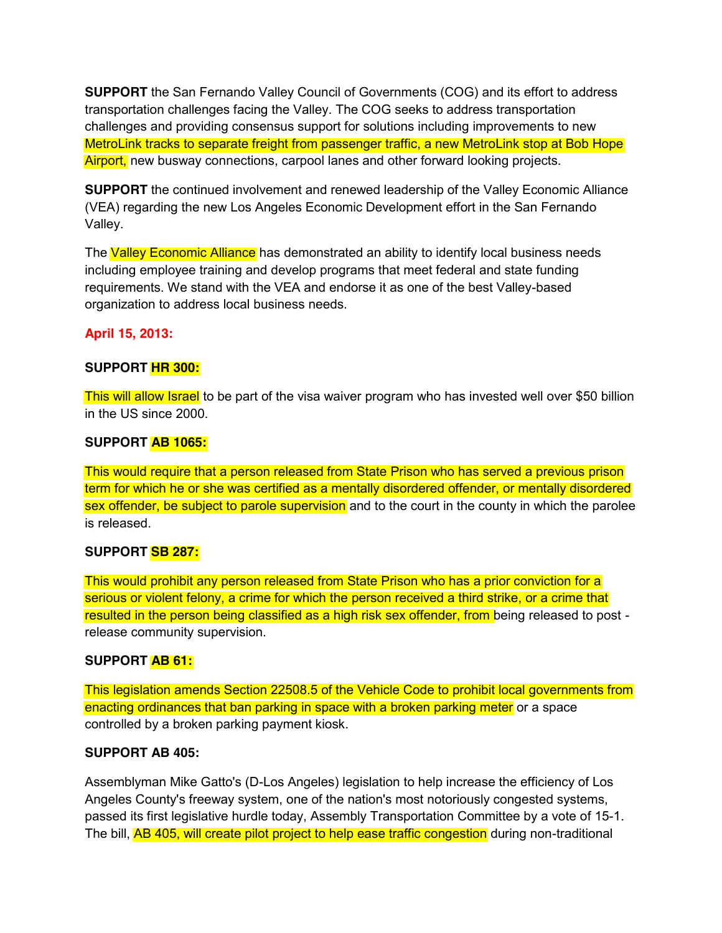**SUPPORT** the San Fernando Valley Council of Governments (COG) and its effort to address transportation challenges facing the Valley. The COG seeks to address transportation challenges and providing consensus support for solutions including improvements to new MetroLink tracks to separate freight from passenger traffic, a new MetroLink stop at Bob Hope Airport, new busway connections, carpool lanes and other forward looking projects.

**SUPPORT** the continued involvement and renewed leadership of the Valley Economic Alliance (VEA) regarding the new Los Angeles Economic Development effort in the San Fernando Valley.

The Valley Economic Alliance has demonstrated an ability to identify local business needs including employee training and develop programs that meet federal and state funding requirements. We stand with the VEA and endorse it as one of the best Valley-based organization to address local business needs.

# **April 15, 2013:**

### **SUPPORT HR 300:**

This will allow Israel to be part of the visa waiver program who has invested well over \$50 billion in the US since 2000.

### **SUPPORT AB 1065:**

This would require that a person released from State Prison who has served a previous prison term for which he or she was certified as a mentally disordered offender, or mentally disordered sex offender, be subject to parole supervision and to the court in the county in which the parolee is released.

### **SUPPORT SB 287:**

This would prohibit any person released from State Prison who has a prior conviction for a serious or violent felony, a crime for which the person received a third strike, or a crime that resulted in the person being classified as a high risk sex offender, from being released to post release community supervision.

### **SUPPORT AB 61:**

This legislation amends Section 22508.5 of the Vehicle Code to prohibit local governments from enacting ordinances that ban parking in space with a broken parking meter or a space controlled by a broken parking payment kiosk.

### **SUPPORT AB 405:**

Assemblyman Mike Gatto's (D-Los Angeles) legislation to help increase the efficiency of Los Angeles County's freeway system, one of the nation's most notoriously congested systems, passed its first legislative hurdle today, Assembly Transportation Committee by a vote of 15-1. The bill, AB 405, will create pilot project to help ease traffic congestion during non-traditional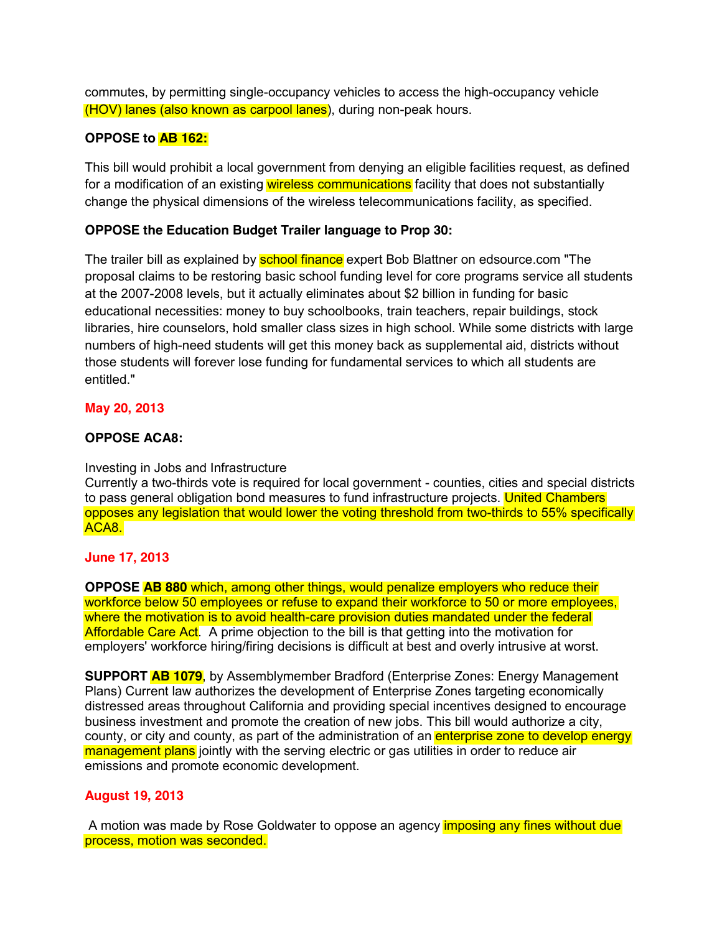commutes, by permitting single-occupancy vehicles to access the high-occupancy vehicle (HOV) lanes (also known as carpool lanes), during non-peak hours.

## **OPPOSE to AB 162:**

This bill would prohibit a local government from denying an eligible facilities request, as defined for a modification of an existing wireless communications facility that does not substantially change the physical dimensions of the wireless telecommunications facility, as specified.

## **OPPOSE the Education Budget Trailer language to Prop 30:**

The trailer bill as explained by **school finance** expert Bob Blattner on edsource.com "The proposal claims to be restoring basic school funding level for core programs service all students at the 2007-2008 levels, but it actually eliminates about \$2 billion in funding for basic educational necessities: money to buy schoolbooks, train teachers, repair buildings, stock libraries, hire counselors, hold smaller class sizes in high school. While some districts with large numbers of high-need students will get this money back as supplemental aid, districts without those students will forever lose funding for fundamental services to which all students are entitled."

### **May 20, 2013**

#### **OPPOSE ACA8:**

#### Investing in Jobs and Infrastructure

Currently a two-thirds vote is required for local government - counties, cities and special districts to pass general obligation bond measures to fund infrastructure projects. United Chambers opposes any legislation that would lower the voting threshold from two-thirds to 55% specifically ACA8.

#### **June 17, 2013**

**OPPOSE AB 880** which, among other things, would penalize employers who reduce their workforce below 50 employees or refuse to expand their workforce to 50 or more employees, where the motivation is to avoid health-care provision duties mandated under the federal Affordable Care Act. A prime objection to the bill is that getting into the motivation for employers' workforce hiring/firing decisions is difficult at best and overly intrusive at worst.

**SUPPORT AB 1079**, by Assemblymember Bradford (Enterprise Zones: Energy Management Plans) Current law authorizes the development of Enterprise Zones targeting economically distressed areas throughout California and providing special incentives designed to encourage business investment and promote the creation of new jobs. This bill would authorize a city, county, or city and county, as part of the administration of an **enterprise zone to develop energy** management plans jointly with the serving electric or gas utilities in order to reduce air emissions and promote economic development.

#### **August 19, 2013**

A motion was made by Rose Goldwater to oppose an agency imposing any fines without due process, motion was seconded.